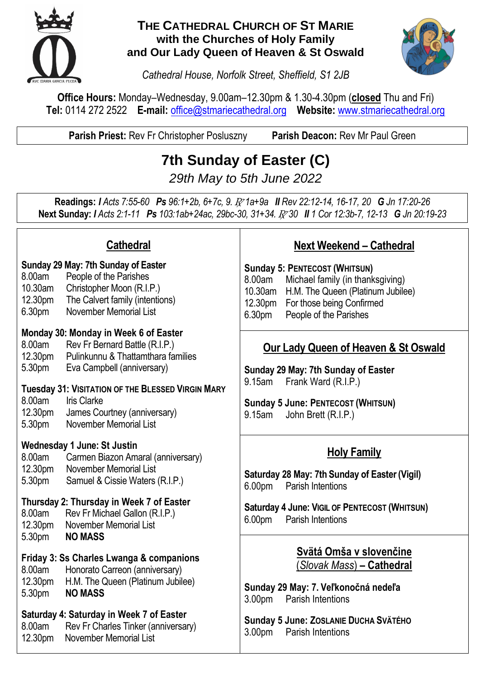

#### **THE CATHEDRAL CHURCH OF ST MARIE with the Churches of Holy Family and Our Lady Queen of Heaven & St Oswald**



*Cathedral House, Norfolk Street, Sheffield, S1 2JB*

**Office Hours:** Monday–Wednesday, 9.00am–12.30pm & 1.30-4.30pm (**closed** Thu and Fri) **Tel:** 0114 272 2522 **E-mail:** [office@stmariecathedral.org](mailto:office@stmariecathedral.org) **Website:** [www.stmariecathedral.org](http://www.stmariecathedral.org/)

**Parish Priest:** Rev Fr Christopher Posluszny **Parish Deacon:** Rev Mr Paul Green

# **7th Sunday of Easter (C)**

*29th May to 5th June 2022*

**Readings:** *I Acts 7:55-60 Ps 96:1+2b, 6+7c, 9.* R *1a+9a II Rev 22:12-14, 16-17, 20 G Jn 17:20-26* **Next Sunday:** *I Acts 2:1-11 Ps 103:1ab+24ac, 29bc-30, 31+34.* R *30 II 1 Cor 12:3b-7, 12-13 G Jn 20:19-23*

| <b>Cathedral</b>                                                                                                                                                                                                     | <b>Next Weekend - Cathedral</b>                                                                                                                                                                             |
|----------------------------------------------------------------------------------------------------------------------------------------------------------------------------------------------------------------------|-------------------------------------------------------------------------------------------------------------------------------------------------------------------------------------------------------------|
| Sunday 29 May: 7th Sunday of Easter<br>8.00am<br>People of the Parishes<br>Christopher Moon (R.I.P.)<br>10.30am<br>The Calvert family (intentions)<br>12.30pm<br><b>November Memorial List</b><br>6.30 <sub>pm</sub> | <b>Sunday 5: PENTECOST (WHITSUN)</b><br>8.00am<br>Michael family (in thanksgiving)<br>10.30am H.M. The Queen (Platinum Jubilee)<br>12.30pm<br>For those being Confirmed<br>6.30pm<br>People of the Parishes |
| Monday 30: Monday in Week 6 of Easter<br>Rev Fr Bernard Battle (R.I.P.)<br>8.00am<br>12.30pm<br>Pulinkunnu & Thattamthara families<br>5.30pm<br>Eva Campbell (anniversary)                                           | <b>Our Lady Queen of Heaven &amp; St Oswald</b><br>Sunday 29 May: 7th Sunday of Easter<br>9.15am Frank Ward (R.I.P.)                                                                                        |
| 8.00am<br><b>Iris Clarke</b><br>12.30pm<br>James Courtney (anniversary)<br>5.30pm<br>November Memorial List                                                                                                          | <b>Sunday 5 June: PENTECOST (WHITSUN)</b><br>John Brett (R.I.P.)<br>9.15am                                                                                                                                  |
| <b>Wednesday 1 June: St Justin</b>                                                                                                                                                                                   | <b>Holy Family</b>                                                                                                                                                                                          |
| November Memorial List<br>12.30pm<br>5.30pm<br>Samuel & Cissie Waters (R.I.P.)                                                                                                                                       | Saturday 28 May: 7th Sunday of Easter (Vigil)<br>6.00pm<br><b>Parish Intentions</b>                                                                                                                         |
| Thursday 2: Thursday in Week 7 of Easter<br>8.00am<br>Rev Fr Michael Gallon (R.I.P.)<br><b>November Memorial List</b><br>12.30pm                                                                                     | Saturday 4 June: VIGIL OF PENTECOST (WHITSUN)<br>6.00pm<br><b>Parish Intentions</b>                                                                                                                         |
| Friday 3: Ss Charles Lwanga & companions<br>8.00am<br>Honorato Carreon (anniversary)<br>12.30pm<br>H.M. The Queen (Platinum Jubilee)<br>5.30pm<br><b>NO MASS</b>                                                     | Svätá Omša v slovenčine<br>(Slovak Mass) - Cathedral<br>Sunday 29 May: 7. Veľkonočná nedeľa<br>3.00pm<br>Parish Intentions                                                                                  |
| Saturday 4: Saturday in Week 7 of Easter<br>Rev Fr Charles Tinker (anniversary)<br>8.00am<br>November Memorial List<br>12.30pm                                                                                       | Sunday 5 June: ZOSLANIE DUCHA SVÄTÉHO<br>3.00pm<br><b>Parish Intentions</b>                                                                                                                                 |
|                                                                                                                                                                                                                      | Tuesday 31: VISITATION OF THE BLESSED VIRGIN MARY<br>Carmen Biazon Amaral (anniversary)<br>8.00am<br>5.30pm<br><b>NO MASS</b>                                                                               |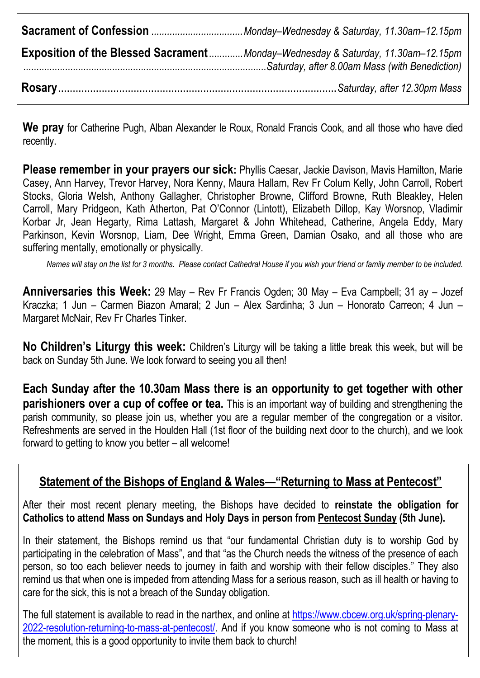| <b>Exposition of the Blessed Sacrament</b> Monday-Wednesday & Saturday, 11.30am-12.15pm |
|-----------------------------------------------------------------------------------------|
|                                                                                         |

**We pray** for Catherine Pugh, Alban Alexander le Roux, Ronald Francis Cook, and all those who have died recently.

**Please remember in your prayers our sick:** Phyllis Caesar, Jackie Davison, Mavis Hamilton, Marie Casey, Ann Harvey, Trevor Harvey, Nora Kenny, Maura Hallam, Rev Fr Colum Kelly, John Carroll, Robert Stocks, Gloria Welsh, Anthony Gallagher, Christopher Browne, Clifford Browne, Ruth Bleakley, Helen Carroll, Mary Pridgeon, Kath Atherton, Pat O'Connor (Lintott), Elizabeth Dillop, Kay Worsnop, Vladimir Korbar Jr, Jean Hegarty, Rima Lattash, Margaret & John Whitehead, Catherine, Angela Eddy, Mary Parkinson, Kevin Worsnop, Liam, Dee Wright, Emma Green, Damian Osako, and all those who are suffering mentally, emotionally or physically.

*Names will stay on the list for 3 months. Please contact Cathedral House if you wish your friend or family member to be included.*

**Anniversaries this Week:** 29 May – Rev Fr Francis Ogden; 30 May – Eva Campbell; 31 ay – Jozef Kraczka; 1 Jun – Carmen Biazon Amaral; 2 Jun – Alex Sardinha; 3 Jun – Honorato Carreon; 4 Jun – Margaret McNair, Rev Fr Charles Tinker.

**No Children's Liturgy this week:** Children's Liturgy will be taking a little break this week, but will be back on Sunday 5th June. We look forward to seeing you all then!

**Each Sunday after the 10.30am Mass there is an opportunity to get together with other parishioners over a cup of coffee or tea.** This is an important way of building and strengthening the parish community, so please join us, whether you are a regular member of the congregation or a visitor. Refreshments are served in the Houlden Hall (1st floor of the building next door to the church), and we look forward to getting to know you better – all welcome!

### **Statement of the Bishops of England & Wales—"Returning to Mass at Pentecost"**

After their most recent plenary meeting, the Bishops have decided to **reinstate the obligation for Catholics to attend Mass on Sundays and Holy Days in person from Pentecost Sunday (5th June).**

In their statement, the Bishops remind us that "our fundamental Christian duty is to worship God by participating in the celebration of Mass", and that "as the Church needs the witness of the presence of each person, so too each believer needs to journey in faith and worship with their fellow disciples." They also remind us that when one is impeded from attending Mass for a serious reason, such as ill health or having to care for the sick, this is not a breach of the Sunday obligation.

The full statement is available to read in the narthex, and online at [https://www.cbcew.org.uk/spring-plenary-](https://www.cbcew.org.uk/spring-plenary-2022-resolution-returning-to-mass-at-pentecost/)[2022-resolution-returning-to-mass-at-pentecost/.](https://www.cbcew.org.uk/spring-plenary-2022-resolution-returning-to-mass-at-pentecost/) And if you know someone who is not coming to Mass at the moment, this is a good opportunity to invite them back to church!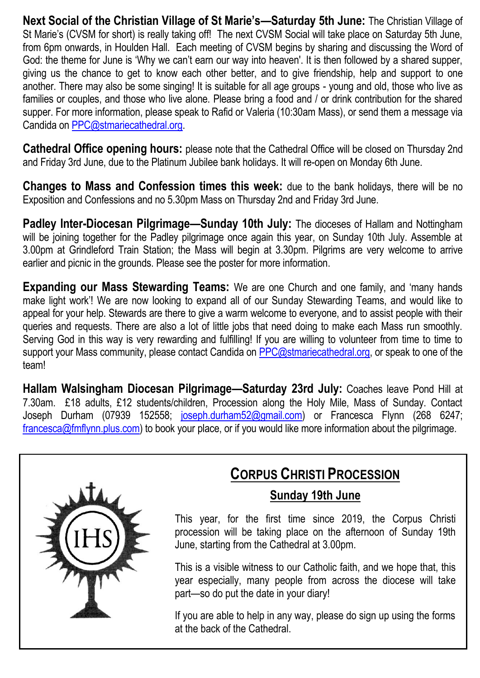**Next Social of the Christian Village of St Marie's—Saturday 5th June:** The Christian Village of St Marie's (CVSM for short) is really taking off! The next CVSM Social will take place on Saturday 5th June, from 6pm onwards, in Houlden Hall. Each meeting of CVSM begins by sharing and discussing the Word of God: the theme for June is 'Why we can't earn our way into heaven'. It is then followed by a shared supper, giving us the chance to get to know each other better, and to give friendship, help and support to one another. There may also be some singing! It is suitable for all age groups - young and old, those who live as families or couples, and those who live alone. Please bring a food and / or drink contribution for the shared supper. For more information, please speak to Rafid or Valeria (10:30am Mass), or send them a message via Candida on [PPC@stmariecathedral.org.](mailto:PPC@stmariecathedral.org)

**Cathedral Office opening hours:** please note that the Cathedral Office will be closed on Thursday 2nd and Friday 3rd June, due to the Platinum Jubilee bank holidays. It will re-open on Monday 6th June.

**Changes to Mass and Confession times this week:** due to the bank holidays, there will be no Exposition and Confessions and no 5.30pm Mass on Thursday 2nd and Friday 3rd June.

**Padley Inter-Diocesan Pilgrimage—Sunday 10th July:** The dioceses of Hallam and Nottingham will be joining together for the Padley pilgrimage once again this year, on Sunday 10th July. Assemble at 3.00pm at Grindleford Train Station; the Mass will begin at 3.30pm. Pilgrims are very welcome to arrive earlier and picnic in the grounds. Please see the poster for more information.

**Expanding our Mass Stewarding Teams:** We are one Church and one family, and 'many hands make light work'! We are now looking to expand all of our Sunday Stewarding Teams, and would like to appeal for your help. Stewards are there to give a warm welcome to everyone, and to assist people with their queries and requests. There are also a lot of little jobs that need doing to make each Mass run smoothly. Serving God in this way is very rewarding and fulfilling! If you are willing to volunteer from time to time to support your Mass community, please contact Candida on [PPC@stmariecathedral.org,](mailto:PPC@stmariecathedral.org) or speak to one of the team!

**Hallam Walsingham Diocesan Pilgrimage—Saturday 23rd July:** Coaches leave Pond Hill at 7.30am. £18 adults, £12 students/children, Procession along the Holy Mile, Mass of Sunday. Contact Joseph Durham (07939 152558; [joseph.durham52@gmail.com\)](mailto:joseph.durham52@gmail.com) or Francesca Flynn (268 6247; [francesca@fmflynn.plus.com\)](mailto:francesca@fmflynn.plus.com) to book your place, or if you would like more information about the pilgrimage.



## **CORPUS CHRISTI PROCESSION**

### **Sunday 19th June**

This year, for the first time since 2019, the Corpus Christi procession will be taking place on the afternoon of Sunday 19th June, starting from the Cathedral at 3.00pm.

This is a visible witness to our Catholic faith, and we hope that, this year especially, many people from across the diocese will take part—so do put the date in your diary!

If you are able to help in any way, please do sign up using the forms at the back of the Cathedral.